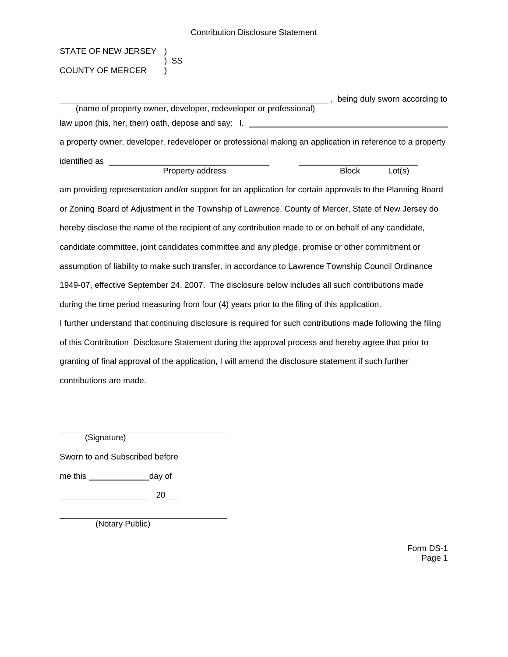## Contribution Disclosure Statement

STATE OF NEW JERSEY )<br>
SS (COUNTY OF MERCER )

 ) SS COUNTY OF MERCER )

|                                                                                                              |              | _, being duly sworn according to |  |
|--------------------------------------------------------------------------------------------------------------|--------------|----------------------------------|--|
| (name of property owner, developer, redeveloper or professional)                                             |              |                                  |  |
| law upon (his, her, their) oath, depose and say: I, ____________________________                             |              |                                  |  |
| a property owner, developer, redeveloper or professional making an application in reference to a property    |              |                                  |  |
| identified as                                                                                                |              |                                  |  |
| Property address                                                                                             | <b>Block</b> | Lot(s)                           |  |
| am providing representation and/or support for an application for certain approvals to the Planning Board    |              |                                  |  |
| or Zoning Board of Adjustment in the Township of Lawrence, County of Mercer, State of New Jersey do          |              |                                  |  |
| hereby disclose the name of the recipient of any contribution made to or on behalf of any candidate,         |              |                                  |  |
| candidate committee, joint candidates committee and any pledge, promise or other commitment or               |              |                                  |  |
| assumption of liability to make such transfer, in accordance to Lawrence Township Council Ordinance          |              |                                  |  |
| 1949-07, effective September 24, 2007. The disclosure below includes all such contributions made             |              |                                  |  |
| during the time period measuring from four (4) years prior to the filing of this application.                |              |                                  |  |
| I further understand that continuing disclosure is required for such contributions made following the filing |              |                                  |  |
| of this Contribution Disclosure Statement during the approval process and hereby agree that prior to         |              |                                  |  |
| granting of final approval of the application, I will amend the disclosure statement if such further         |              |                                  |  |
| contributions are made.                                                                                      |              |                                  |  |

(Signature)

Sworn to and Subscribed before

me this \_\_\_\_\_\_\_\_\_\_\_\_\_\_\_\_\_\_day of

 $\overline{\phantom{a}20}$ 

(Notary Public)

Form DS-1 Page 1